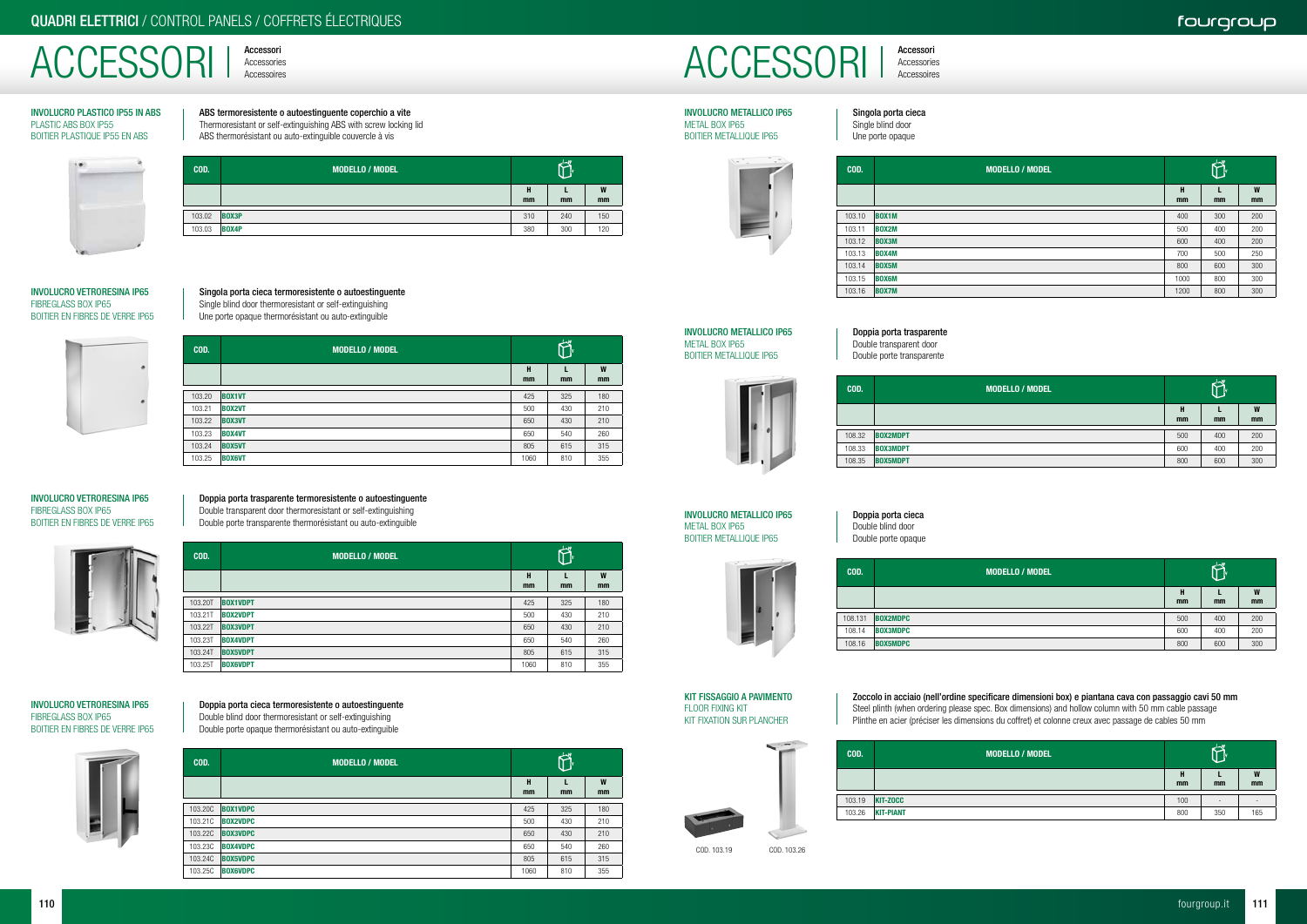Accessori ACCESSORI | Accessories

Accessori



### ABS termoresistente o autoestinguente coperchio a vite Thermoresistant or self-extinguishing ABS with screw locking lid ABS thermorésistant ou auto-extinguible couvercle à vis

 $\overleftrightarrow{\mathbf{C}}$ **COD.** MODELLO / MODELLO / MODELLO  $\mathbf L$ H W mm mm mm 103.02 **BOX3P** 310 240 150 103.03 **BOX4P** 380 300 120

### INVOLUCRO PLASTICO IP55 IN ABS PLASTIC ABS BOX IP55 BOITIER PLASTIQUE IP55 EN ABS



### Singola porta cieca termoresistente o autoestinguente

Single blind door thermoresistant or self-extinguishing Une porte opaque thermorésistant ou auto-extinguible

### INVOLUCRO VETRORESINA IP65 FIBREGLASS BOX IP65 BOITIER EN FIBRES DE VERRE IP65



### Doppia porta trasparente termoresistente o autoestinguente

Double transparent door thermoresistant or self-extinguishing

Double porte transparente thermorésistant ou auto-extinguible

### INVOLUCRO VETRORESINA IP65 FIBREGLASS BOX IP65 BOITIER EN FIBRES DE VERRE IP65



### Doppia porta cieca termoresistente o autoestinguente Double blind door thermoresistant or self-extinguishing

Double porte opaque thermorésistant ou auto-extinguible

### INVOLUCRO VETRORESINA IP65 FIBREGLASS BOX IP65 BOITIER EN FIBRES DE VERRE IP65



| COD.   | <b>MODELLO / MODEL</b> |         | $L_{m}W$ |         |
|--------|------------------------|---------|----------|---------|
|        |                        | H<br>mm | mm       | W<br>mm |
| 103.20 | <b>BOX1VT</b>          | 425     | 325      | 180     |
| 103.21 | <b>BOX2VT</b>          | 500     | 430      | 210     |
| 103.22 | <b>BOX3VT</b>          | 650     | 430      | 210     |
| 103.23 | <b>BOX4VT</b>          | 650     | 540      | 260     |
| 103.24 | <b>BOX5VT</b>          | 805     | 615      | 315     |
| 103.25 | <b>BOX6VT</b>          | 1060    | 810      | 355     |

| COD.    | <b>MODELLO / MODEL</b> |         | كامله<br>ŀ |         |
|---------|------------------------|---------|------------|---------|
|         |                        | н<br>mm | mm         | W<br>mm |
| 103.20T | <b>BOX1VDPT</b>        | 425     | 325        | 180     |
| 103.21T | <b>BOX2VDPT</b>        | 500     | 430        | 210     |
| 103.22T | <b>BOX3VDPT</b>        | 650     | 430        | 210     |
| 103.23T | <b>BOX4VDPT</b>        | 650     | 540        | 260     |
| 103.24T | <b>BOX5VDPT</b>        | 805     | 615        | 315     |
| 103.25T | <b>BOX6VDPT</b>        | 1060    | 810        | 355     |

| COD.    | <b>MODELLO / MODEL</b> |         | 山也<br><b>AF</b> |         |
|---------|------------------------|---------|-----------------|---------|
|         |                        | н<br>mm | mm              | W<br>mm |
| 103.20C | <b>BOX1VDPC</b>        | 425     | 325             | 180     |
| 103.21C | <b>BOX2VDPC</b>        | 500     | 430             | 210     |
| 103.22C | <b>BOX3VDPC</b>        | 650     | 430             | 210     |
| 103.23C | <b>BOX4VDPC</b>        | 650     | 540             | 260     |
| 103.24C | <b>BOX5VDPC</b>        | 805     | 615             | 315     |
| 103.25C | <b>BOX6VDPC</b>        | 1060    | 810             | 355     |

Singola porta cieca Single blind door Une porte opaque

### INVOLUCRO METALLICO IP65 METAL BOX IP65 BOITIER METALLIQUE IP65

Doppia porta trasparente

Double transparent door Double porte transparente

### INVOLUCRO METALLICO IP65 METAL BOX IP65 BOITIER METALLIQUE IP65





## Doppia porta cieca

# Double blind door

Double porte opaque

| COD.    |                 |
|---------|-----------------|
|         |                 |
| 108.131 | <b>BOX2MDPC</b> |
| 108.14  | <b>BOX3MDPC</b> |
| 108.16  | <b>BOX5MDPC</b> |

INVOLUCRO METALLICO IP65 METAL BOX IP65 BOITIER METALLIQUE IP65

### Zoccolo in acciaio (nell'ordine specificare dimensioni box) e piantana cava con passaggio cavi 50 mm Steel plinth (when ordering please spec. Box dimensions) and hollow column with 50 mm cable passage Plinthe en acier (préciser les dimensions du coffret) et colonne creux avec passage de cables 50 mm

KIT FISSAGGIO A PAVIMENTO FLOOR FIXING KIT KIT FIXATION SUR PLANCHER



| COD.   | <b>MODELLO / MODEL</b> | $L_{\rightarrow}W$ |     |         |  |
|--------|------------------------|--------------------|-----|---------|--|
|        |                        | H<br>mm            | mm  | W<br>mm |  |
| 103.10 | <b>BOX1M</b>           | 400                | 300 | 200     |  |
| 103.11 | <b>BOX2M</b>           | 500                | 400 | 200     |  |
| 103.12 | <b>BOX3M</b>           | 600                | 400 | 200     |  |
| 103.13 | <b>BOX4M</b>           | 700                | 500 | 250     |  |
| 103.14 | <b>BOX5M</b>           | 800                | 600 | 300     |  |
| 103.15 | <b>BOX6M</b>           | 1000               | 800 | 300     |  |
| 103.16 | <b>BOX7M</b>           | 1200               | 800 | 300     |  |

| COD.   | <b>MODELLO / MODEL</b> |         | $\leftrightarrow$<br>ĪН |         |
|--------|------------------------|---------|-------------------------|---------|
|        |                        | H<br>mm | mm                      | W<br>mm |
|        |                        |         |                         |         |
| 108.32 | <b>BOX2MDPT</b>        | 500     | 400                     | 200     |
| 108.33 | <b>BOX3MDPT</b>        | 600     | 400                     | 200     |
| 108.35 | <b>BOX5MDPT</b>        | 800     | 600                     | 300     |
|        |                        |         |                         |         |

| COD.    | <b>MODELLO / MODEL</b> |         | $L_{\bullet}W$<br>ŀ |         |
|---------|------------------------|---------|---------------------|---------|
|         |                        | н<br>mm | mm                  | W<br>mm |
| 108.131 | <b>BOX2MDPC</b>        | 500     | 400                 | 200     |
| 108.14  | <b>BOX3MDPC</b>        | 600     | 400                 | 200     |
| 108.16  | <b>BOX5MDPC</b>        | 800     | 600                 | 300     |

| COD.   | <b>MODELLO / MODEL</b> | $L_{\infty}W$<br>⊮ |               |                          |
|--------|------------------------|--------------------|---------------|--------------------------|
|        |                        | Н<br>mm            | <sub>mm</sub> | W<br>mm                  |
| 103.19 | <b>KIT-ZOCC</b>        | 100                | -             | $\overline{\phantom{a}}$ |
| 103.26 | <b>KIT-PIANT</b>       | 800                | 350           | 165                      |

COD. 103.19 COD. 103.26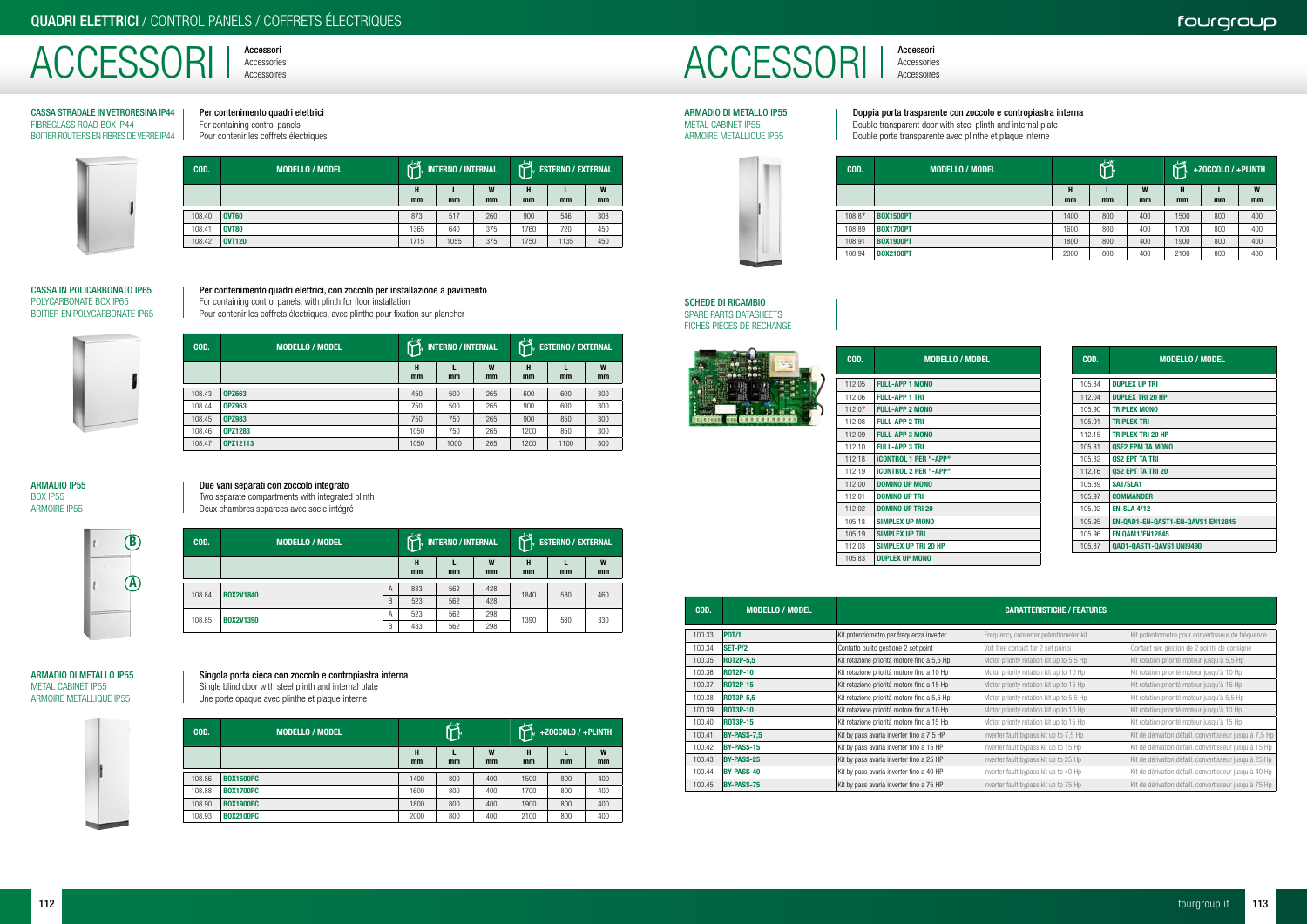Accessori



Accessori



Per contenimento quadri elettrici For containing control panels Pour contenir les coffrets électriques



### CASSA STRADALE IN VETRORESINA IP44 FIBREGLASS ROAD BOX IP44 BOITIER ROUTIERS EN FIBRES DE VERRE IP44

### Per contenimento quadri elettrici, con zoccolo per installazione a pavimento For containing control panels, with plinth for floor installation

Pour contenir les coffrets électriques, avec plinthe pour fixation sur plancher





| COD.   | <b>MODELLO / MODEL</b> | $L_{\mathbf{w}}$<br><b>INTERNO / INTERNAL</b><br>47 |      |         | ⊥∽w     | <b>FRITERNO</b> / EXTERNAL |         |
|--------|------------------------|-----------------------------------------------------|------|---------|---------|----------------------------|---------|
|        |                        | Н<br>mm                                             | mm   | W<br>mm | Н<br>mm | mm                         | W<br>mm |
| 108.40 | <b>QVT60</b>           | 873                                                 | 517  | 260     | 900     | 546                        | 308     |
| 108.41 | <b>QVT80</b>           | 1365                                                | 640  | 375     | 1760    | 720                        | 450     |
| 108.42 | <b>QVT120</b>          | 1715                                                | 1055 | 375     | 1750    | 1135                       | 450     |

| COD.   | <b>MODELLO / MODEL</b> | <b>INTERNO / INTERNAL</b> |         |         | $4-w$   | <b>ESTERNO / EXTERNAL</b> |         |
|--------|------------------------|---------------------------|---------|---------|---------|---------------------------|---------|
|        |                        | н<br>mm                   | L<br>mm | W<br>mm | н<br>mm | mm                        | W<br>mm |
| 108.43 | <b>QPZ663</b>          | 450                       | 500     | 265     | 600     | 600                       | 300     |
| 108.44 | <b>QPZ963</b>          | 750                       | 500     | 265     | 900     | 600                       | 300     |
| 108.45 | <b>QPZ983</b>          | 750                       | 750     | 265     | 900     | 850                       | 300     |
| 108.46 | <b>QPZ1283</b>         | 1050                      | 750     | 265     | 1200    | 850                       | 300     |
| 108.47 | <b>QPZ12113</b>        | 1050                      | 1000    | 265     | 1200    | 1100                      | 300     |

### Due vani separati con zoccolo integrato

Two separate compartments with integrated plinth

Deux chambres separees avec socle intégré

### ARMADIO IP55 BOX IP55 ARMOIRE IP55

| COD.   | <b>MODELLO / MODEL</b> |   | $L_{\mathbf{N}}W$<br><b>INTERNO / INTERNAL</b> |     |         | $L-W$<br><b>FIGURE 1</b> ESTERNO / EXTERNAL |     |         |
|--------|------------------------|---|------------------------------------------------|-----|---------|---------------------------------------------|-----|---------|
|        |                        |   | н<br>mm                                        | mm  | W<br>mm | Н<br>mm                                     | mm  | W<br>mm |
| 108.84 | <b>BOX2V1840</b>       | A | 883                                            | 562 | 428     | 1840                                        | 580 |         |
|        |                        | B | 523                                            | 562 | 428     |                                             |     | 460     |
| 108.85 | <b>BOX2V1390</b>       | A | 523                                            | 562 | 298     | 1390                                        |     | 330     |
|        |                        | B | 433                                            | 562 | 298     |                                             | 580 |         |

Singola porta cieca con zoccolo e contropiastra interna

Single blind door with steel plinth and internal plate

Une porte opaque avec plinthe et plaque interne





| COD.   | <b>MODELLO / MODEL</b> | $L_{m}W$ |     |         | للامله<br>+ZOCCOLO / +PLINTH |     |         |
|--------|------------------------|----------|-----|---------|------------------------------|-----|---------|
|        |                        | н<br>mm  | mm  | W<br>mm | Н<br>mm                      | mm  | W<br>mm |
|        |                        |          |     |         |                              |     |         |
| 108.86 | <b>BOX1500PC</b>       | 1400     | 800 | 400     | 1500                         | 800 | 400     |
| 108.88 | <b>BOX1700PC</b>       | 1600     | 800 | 400     | 1700                         | 800 | 400     |
| 108.90 | <b>BOX1900PC</b>       | 1800     | 800 | 400     | 1900                         | 800 | 400     |
| 108.93 | <b>BOX2100PC</b>       | 2000     | 800 | 400     | 2100                         | 800 | 400     |

Doppia porta trasparente con zoccolo e contropiastra interna Double transparent door with steel plinth and internal plate Double porte transparente avec plinthe et plaque interne

### ARMADIO DI METALLO IP55 METAL CABINET IP55 ARMOIRE METALLIQUE IP55

| COD.   | <b>MODELLO / MODEL</b> | $L_{\infty}$ W |     | كامك<br>+ZOCCOLO / +PLINTH<br>lн |         |     |         |
|--------|------------------------|----------------|-----|----------------------------------|---------|-----|---------|
|        |                        | н<br>mm        | mm  | W<br>mm                          | н<br>mm | mm  | W<br>mm |
| 108.87 | <b>BOX1500PT</b>       | 1400           | 800 | 400                              | 1500    | 800 | 400     |
| 108.89 | <b>BOX1700PT</b>       | 1600           | 800 | 400                              | 1700    | 800 | 400     |
| 108.91 | <b>BOX1900PT</b>       | 1800           | 800 | 400                              | 1900    | 800 | 400     |
| 108.94 | <b>BOX2100PT</b>       | 2000           | 800 | 400                              | 2100    | 800 | 400     |





| COD.   | <b>MODELLO / MODEL</b>       |
|--------|------------------------------|
| 112.05 | <b>FULL-APP 1 MONO</b>       |
| 112.06 | <b>FULL-APP 1 TRI</b>        |
| 112.07 | <b>FULL-APP 2 MONO</b>       |
| 112.08 | <b>FULL-APP 2 TRI</b>        |
| 112.09 | <b>FULL-APP 3 MONO</b>       |
| 112.10 | <b>FULL-APP 3 TRI</b>        |
| 112 18 | <b>iCONTROL 1 PER "-APP"</b> |
| 112 19 | <b>iCONTROL 2 PER "-APP"</b> |
| 112.00 | <b>DOMINO UP MONO</b>        |
| 112 01 | <b>DOMINO UP TRI</b>         |
| 112.02 | DOMINO UP TRI 20             |
| 105.18 | <b>SIMPLEX UP MONO</b>       |
| 105.19 | <b>SIMPLEX UP TRI</b>        |
| 112.03 | <b>SIMPLEX UP TRI 20 HP</b>  |
| 105.83 | <b>DUPLEX UP MONO</b>        |

| COD.   | <b>MODELLO / MODEL</b>            |
|--------|-----------------------------------|
|        |                                   |
| 105.84 | <b>DUPLEX UP TRI</b>              |
| 112.04 | <b>DUPLEX TRI 20 HP</b>           |
| 105.90 | <b>TRIPLEX MONO</b>               |
| 105.91 | <b>TRIPLEX TRI</b>                |
| 112.15 | <b>TRIPLEX TRI 20 HP</b>          |
| 105.81 | <b>QSE2 EPM TA MONO</b>           |
| 105.82 | <b>OS2 EPT TA TRI</b>             |
| 112.16 | <b>OS2 EPT TA TRI 20</b>          |
| 105.89 | SA1/SLA1                          |
| 105.97 | <b>COMMANDER</b>                  |
| 105.92 | <b>EN-SLA 4/12</b>                |
| 105.95 | EN-QAD1-EN-QAST1-EN-QAVS1 EN12845 |
| 105.96 | <b>EN QAM1/EN12845</b>            |
| 105.87 | <b>QAD1-QAST1-QAVS1 UNI9490</b>   |

|        |                        | 1 I Z.UJ<br>SIMPLEA UP IN ZU NP             |                                          | 100.07 | UNDI-UASI I-UAVSI UNDHUU                                |
|--------|------------------------|---------------------------------------------|------------------------------------------|--------|---------------------------------------------------------|
|        |                        | <b>DUPLEX UP MONO</b><br>105.83             |                                          |        |                                                         |
|        |                        |                                             |                                          |        |                                                         |
|        |                        |                                             |                                          |        |                                                         |
|        |                        |                                             |                                          |        |                                                         |
| COD.   | <b>MODELLO / MODEL</b> |                                             | <b>CARATTERISTICHE / FEATURES</b>        |        |                                                         |
|        |                        |                                             |                                          |        |                                                         |
| 100.33 | <b>POT/1</b>           | Kit potenziometro per frequenza inverter    | Frequency converter potentiometer kit    |        | Kit potentiomètre pour convertisseur de fréquence       |
| 100.34 | <b>SET-P/2</b>         | Contatto pulito gestione 2 set point        | Volt free contact for 2 set points       |        | Contact sec gestion de 2 points de consigne             |
| 100.35 | <b>ROT2P-5,5</b>       | Kit rotazione priorità motore fino a 5,5 Hp | Motor priority rotation kit up to 5,5 Hp |        | Kit rotation priorité moteur jusqu'à 5,5 Hp             |
| 100.36 | <b>ROT2P-10</b>        | Kit rotazione priorità motore fino a 10 Hp  | Motor priority rotation kit up to 10 Hp  |        | Kit rotation priorité moteur jusqu'à 10 Hp              |
| 100.37 | <b>ROT2P-15</b>        | Kit rotazione priorità motore fino a 15 Hp  | Motor priority rotation kit up to 15 Hp  |        | Kit rotation priorité moteur jusqu'à 15 Hp              |
| 100.38 | <b>ROT3P-5,5</b>       | Kit rotazione priorità motore fino a 5,5 Hp | Motor priority rotation kit up to 5,5 Hp |        | Kit rotation priorité moteur jusqu'à 5,5 Hp             |
| 100.39 | <b>ROT3P-10</b>        | Kit rotazione priorità motore fino a 10 Hp  | Motor priority rotation kit up to 10 Hp  |        | Kit rotation priorité moteur jusqu'à 10 Hp              |
| 100.40 | <b>ROT3P-15</b>        | Kit rotazione priorità motore fino a 15 Hp  | Motor priority rotation kit up to 15 Hp  |        | Kit rotation priorité moteur jusqu'à 15 Hp              |
| 100.41 | <b>BY-PASS-7,5</b>     | Kit by pass avaria inverter fino a 7,5 HP   | Inverter fault bypass kit up to 7,5 Hp   |        | Kit de dérivation défaill. convertisseur jusqu'à 7,5 Hp |
| 100.42 | <b>BY-PASS-15</b>      | Kit by pass avaria inverter fino a 15 HP    | Inverter fault bypass kit up to 15 Hp    |        | Kit de dérivation défaill. convertisseur jusqu'à 15 Hp  |
| 100.43 | <b>BY-PASS-25</b>      | Kit by pass avaria inverter fino a 25 HP    | Inverter fault bypass kit up to 25 Hp    |        | Kit de dérivation défaill. convertisseur jusqu'à 25 Hp  |
| 100.44 | <b>BY-PASS-40</b>      | Kit by pass avaria inverter fino a 40 HP    | Inverter fault bypass kit up to 40 Hp    |        | Kit de dérivation défaill. convertisseur jusqu'à 40 Hp  |
| 100.45 | <b>BY-PASS-75</b>      | Kit by pass avaria inverter fino a 75 HP    | Inverter fault bypass kit up to 75 Hp    |        | Kit de dérivation défaill. convertisseur jusqu'à 75 Hp  |

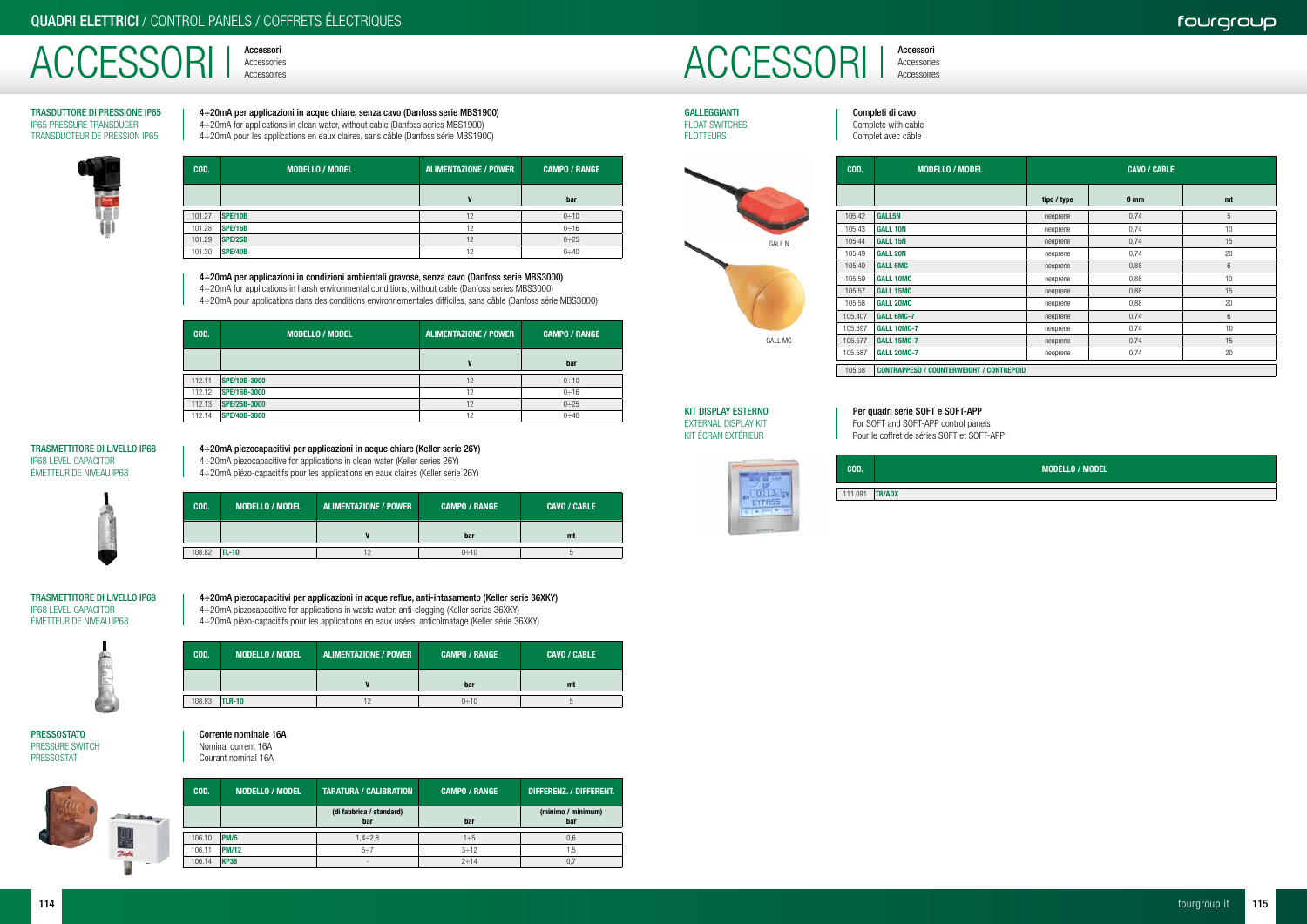# Accessori ACCESSORI | Accessories

Accessori



GALLEGGIANTI FLOAT SWITCHES FLOTTEURS

| COD.    | <b>MODELLO / MODEL</b>                          | <b>CAVO / CABLE</b> |                 |                |  |  |
|---------|-------------------------------------------------|---------------------|-----------------|----------------|--|--|
|         |                                                 | tipo / type         | 0 <sub>mm</sub> | mt             |  |  |
| 105.42  | <b>GALL5N</b>                                   | neoprene            | 0,74            | 5              |  |  |
| 105.43  | <b>GALL 10N</b>                                 | neoprene            | 0,74            | 10             |  |  |
| 105.44  | <b>GALL 15N</b>                                 | neoprene            | 0,74            | 15             |  |  |
| 105.49  | <b>GALL 20N</b>                                 | neoprene            | 0,74            | 20             |  |  |
| 105.40  | <b>GALL 6MC</b>                                 | neoprene            | 0,88            | $6\phantom{1}$ |  |  |
| 105.59  | <b>GALL 10MC</b>                                | neoprene            | 0,88            | 10             |  |  |
| 105.57  | <b>GALL 15MC</b>                                | neoprene            | 0,88            | 15             |  |  |
| 105.58  | <b>GALL 20MC</b>                                | neoprene            | 0,88            | 20             |  |  |
| 105.407 | <b>GALL 6MC-7</b>                               | neoprene            | 0,74            | 6              |  |  |
| 105.597 | <b>GALL 10MC-7</b>                              | neoprene            | 0,74            | 10             |  |  |
| 105.577 | <b>GALL 15MC-7</b>                              | neoprene            | 0,74            | 15             |  |  |
| 105.587 | <b>GALL 20MC-7</b>                              | neoprene            | 0,74            | 20             |  |  |
| 105.38  | <b>CONTRAPPESO / COUNTERWEIGHT / CONTREPOID</b> |                     |                 |                |  |  |

GALL MC

GALL N

Completi di cavo Complete with cable Complet avec câble

### Per quadri serie SOFT e SOFT-APP For SOFT and SOFT-APP control panels

Pour le coffret de séries SOFT et SOFT-APP



KIT DISPLAY ESTERNO EXTERNAL DISPLAY KIT KIT ÉCRAN EXTÉRIEUR

> COD. MODELLO / MODEL 111.091 TR/ADX

4÷20mA piezocapacitive for applications in waste water, anti-clogging (Keller series 36XKY) 4÷20mA piézo-capacitifs pour les applications en eaux usées, anticolmatage (Keller série 36XKY) COD. MODELLO / MODEL ALIMENTAZIONE / POWER CAMPO / RANGE CAVO / CABLE

4÷20mA per applicazioni in acque chiare, senza cavo (Danfoss serie MBS1900) 4÷20mA for applications in clean water, without cable (Danfoss series MBS1900) 4÷20mA pour les applications en eaux claires, sans câble (Danfoss série MBS1900)

**PRESSOSTATO** PRESSURE SWITCH PRESSOSTAT



TRASDUTTORE DI PRESSIONE IP65 IP65 PRESSURE TRANSDUCER TRANSDUCTEUR DE PRESSION IP65



| COD.   | <b>MODELLO / MODEL</b> | ALIMENTAZIONE / POWER | <b>CAMPO / RANGE</b> |
|--------|------------------------|-----------------------|----------------------|
|        |                        | V                     | bar                  |
| 101.27 | <b>SPE/10B</b>         | 12                    | 0:10                 |
| 101.28 | <b>SPE/16B</b>         | 12                    | 0:16                 |
| 101.29 | <b>SPE/25B</b>         | 12                    | 0:25                 |

4÷20mA piezocapacitivi per applicazioni in acque chiare (Keller serie 26Y) 4÷20mA piezocapacitive for applications in clean water (Keller series 26Y) 4÷20mA piézo-capacitifs pour les applications en eaux claires (Keller série 26Y)

COD. MODELLO / MODEL ALIMENTAZIONE / POWER CAMPO / RANGE CAVO / CABLE V bar mt  $108.82$  TL-10  $12$   $12$   $0 \div 10$ 

### TRASMETTITORE DI LIVELLO IP68 IP68 LEVEL CAPACITOR ÉMETTEUR DE NIVEAU IP68

4÷20mA piezocapacitivi per applicazioni in acque reflue, anti-intasamento (Keller serie 36XKY)

TRASMETTITORE DI LIVELLO IP68 IP68 LEVEL CAPACITOR ÉMETTEUR DE NIVEAU IP68



|        |               | bar  | mt |
|--------|---------------|------|----|
|        |               |      |    |
| 108.83 | <b>TLR-10</b> | 0:10 |    |

### Corrente nominale 16A Nominal current 16A

Courant nominal 16A

| COD.   | <b>MODELLO / MODEL</b> | <b>TARATURA / CALIBRATION</b>   | <b>CAMPO / RANGE</b> | DIFFERENZ. / DIFFERENT.   |
|--------|------------------------|---------------------------------|----------------------|---------------------------|
|        |                        | (di fabbrica / standard)<br>bar | bar                  | (minimo / minimum)<br>bar |
| 106.10 | PM/5                   | $1,4 \div 2,8$                  | $1\div 5$            | 0,6                       |
| 106.11 | PM/12                  | $5 \div 7$                      | $3 \div 12$          | 1.5                       |
| 106.14 | <b>KP36</b>            | $\overline{\phantom{a}}$        | $2 \div 14$          | 0.7                       |

4÷20mA per applicazioni in condizioni ambientali gravose, senza cavo (Danfoss serie MBS3000) 4÷20mA for applications in harsh environmental conditions, without cable (Danfoss series MBS3000) 4÷20mA pour applications dans des conditions environnementales difficiles, sans câble (Danfoss série MBS3000)

101.30 SPE/40B 12 0÷40

| COD.   | <b>MODELLO / MODEL</b> | ALIMENTAZIONE / POWER | <b>CAMPO / RANGE</b> |
|--------|------------------------|-----------------------|----------------------|
|        |                        |                       | bar                  |
| 112.11 | SPE/10B-3000           | 12                    | 0:10                 |
| 112.12 | SPE/16B-3000           | 12                    | 0:16                 |
| 112.13 | <b>SPE/25B-3000</b>    | 12                    | $0 \div 25$          |
| 112.14 | <b>SPE/40B-3000</b>    | 12                    | $0 \div 40$          |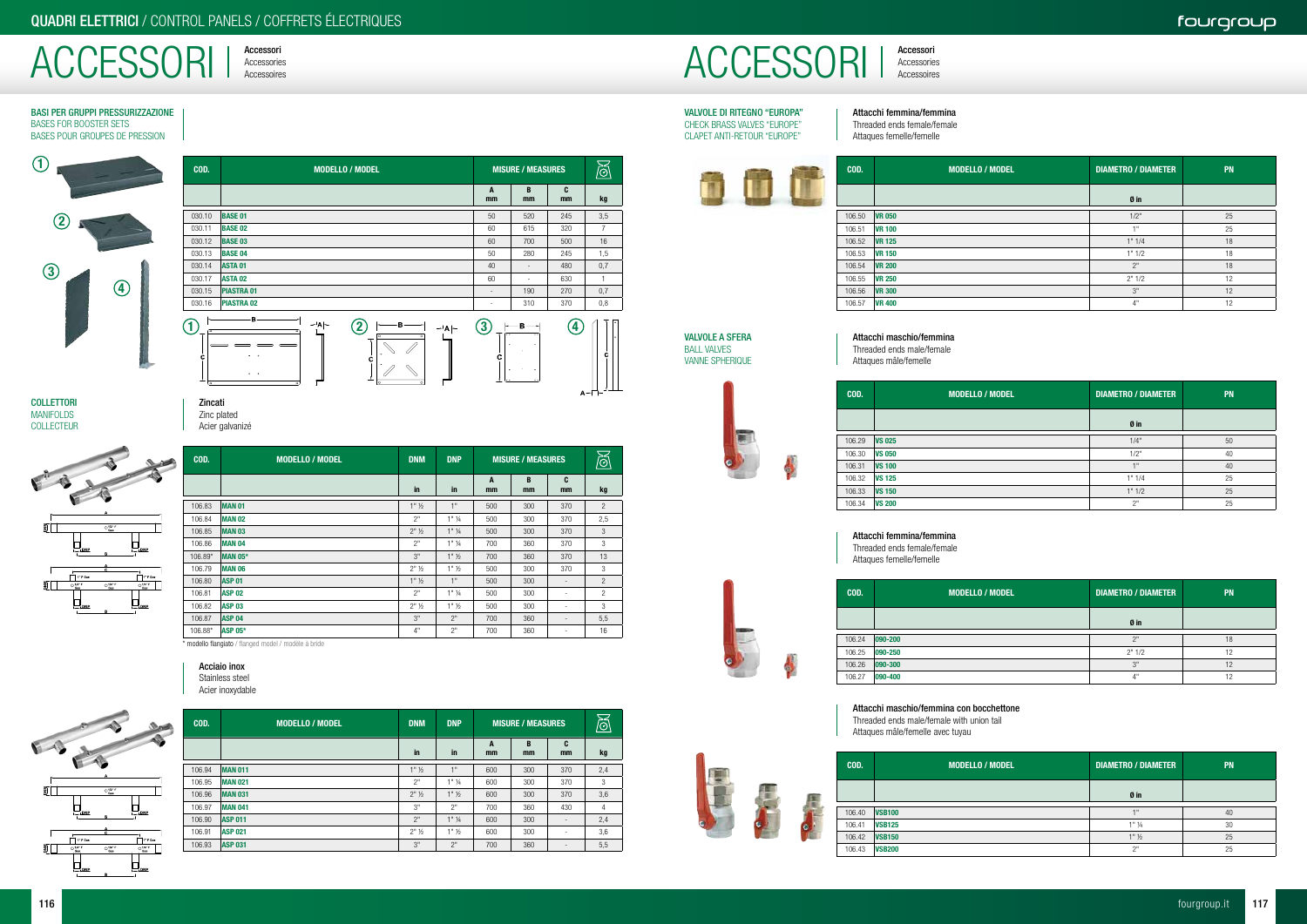ACCESSORI | Accessories

Accessori



### BASI PER GRUPPI PRESSURIZZAZIONE BASES FOR BOOSTER SETS BASES POUR GROUPES DE PRESSION

**COLLETTORI MANIFOLDS** COLLECTEUR

| COD.    | <b>MODELLO / MODEL</b> | <b>DNM</b>         | <b>DNP</b>         | <b>MISURE / MEASURES</b> |         | $\breve{\mathbb{Q}}$     |                |
|---------|------------------------|--------------------|--------------------|--------------------------|---------|--------------------------|----------------|
|         |                        | in                 | in                 | A<br>mm                  | B<br>mm | C<br>mm                  | kg             |
| 106.83  | MAN <sub>01</sub>      | $1"$ $\frac{1}{2}$ | 1"                 | 500                      | 300     | 370                      | $\overline{c}$ |
| 106.84  | <b>MAN 02</b>          | 2"                 | $1"$ $\frac{1}{4}$ | 500                      | 300     | 370                      | 2,5            |
| 106.85  | <b>MAN 03</b>          | $2"$ $\frac{1}{2}$ | $1"$ $\frac{1}{4}$ | 500                      | 300     | 370                      | 3              |
| 106.86  | <b>MAN 04</b>          | 2"                 | $1"$ %             | 700                      | 360     | 370                      | 3              |
| 106.89* | MAN 05*                | 3"                 | $1"$ $\frac{1}{2}$ | 700                      | 360     | 370                      | 13             |
| 106.79  | <b>MAN 06</b>          | $2"$ $\frac{1}{2}$ | $1"$ $\frac{1}{2}$ | 500                      | 300     | 370                      | 3              |
| 106.80  | <b>ASP 01</b>          | $1"$ $\frac{1}{2}$ | 1"                 | 500                      | 300     |                          | $\mathfrak{p}$ |
| 106.81  | <b>ASP 02</b>          | 2"                 | $1"$ %             | 500                      | 300     |                          | $\overline{c}$ |
| 106.82  | <b>ASP 03</b>          | $2"$ $\frac{1}{2}$ | $1"$ $\frac{1}{2}$ | 500                      | 300     |                          | 3              |
| 106.87  | <b>ASP 04</b>          | 3"                 | 2"                 | 700                      | 360     | $\overline{\phantom{a}}$ | 5,5            |
| 106.88* | <b>ASP 05*</b>         | 4"                 | 2"                 | 700                      | 360     |                          | 16             |

| COD.         | <b>MODELLO / MODEL</b>                                                                                                                                                                                         | <b>MISURE / MEASURES</b>    |                          |         | ලි             |
|--------------|----------------------------------------------------------------------------------------------------------------------------------------------------------------------------------------------------------------|-----------------------------|--------------------------|---------|----------------|
|              |                                                                                                                                                                                                                | A<br>mm                     | B<br>mm                  | C<br>mm | kg             |
| 030.10       | <b>BASE 01</b>                                                                                                                                                                                                 | 50                          | 520                      | 245     | 3,5            |
| 030.11       | <b>BASE 02</b>                                                                                                                                                                                                 | 60                          | 615                      | 320     | $\overline{7}$ |
| 030.12       | <b>BASE 03</b>                                                                                                                                                                                                 | 60                          | 700                      | 500     | 16             |
| 030.13       | <b>BASE 04</b>                                                                                                                                                                                                 | 50                          | 280                      | 245     | 1,5            |
| 030.14       | <b>ASTA 01</b>                                                                                                                                                                                                 | 40                          | $\overline{\phantom{a}}$ | 480     | 0,7            |
| 030.17       | <b>ASTA 02</b>                                                                                                                                                                                                 | 60                          | $\sim$                   | 630     | $\mathbf{1}$   |
| 030.15       | <b>PIASTRA 01</b>                                                                                                                                                                                              | $\overline{\phantom{a}}$    | 190                      | 270     | 0,7            |
| 030.16       | <b>PIASTRA 02</b>                                                                                                                                                                                              | $\sim$                      | 310                      | 370     | 0,8            |
| ত<br>c<br>l٥ | в<br>$-$ <sup><math>\vert</math></sup> A $\vert$ $-$<br>$\mathbf{2}$<br>в<br>⊸'A ⊢<br>ᅙ<br>०<br>$\overline{O}$<br>$\overline{a}$<br>$\bullet$<br>c<br>$\bullet$<br>$\circ$ $\circ$<br>۱o<br>$\circ$<br>$\circ$ | $\bf (3)$<br><u>r.</u><br>с | в<br>$\bullet$           | 4       | с              |

\* modello flangiato / flanged model / modèle à bride

| COD.   | <b>MODELLO / MODEL</b> | <b>DNM</b>         | <b>DNP</b>         | <b>MISURE / MEASURES</b> |         | $\widetilde{\otimes}$    |     |
|--------|------------------------|--------------------|--------------------|--------------------------|---------|--------------------------|-----|
|        |                        | in                 | in                 | A<br>mm                  | B<br>mm | C<br>mm                  | kg  |
| 106.94 | <b>MAN 011</b>         | $1"$ $\frac{1}{2}$ | 1"                 | 600                      | 300     | 370                      | 2,4 |
| 106.95 | <b>MAN 021</b>         | 2"                 | $1"$ %             | 600                      | 300     | 370                      | 3   |
| 106.96 | <b>MAN 031</b>         | $2"$ $\frac{1}{2}$ | $1"$ $\frac{1}{2}$ | 600                      | 300     | 370                      | 3,6 |
| 106.97 | <b>MAN 041</b>         | 3"                 | 2"                 | 700                      | 360     | 430                      | 4   |
| 106.90 | <b>ASP 011</b>         | 2"                 | $1"$ $\frac{1}{4}$ | 600                      | 300     | $\overline{\phantom{a}}$ | 2,4 |
| 106.91 | <b>ASP 021</b>         | $2"$ $\frac{1}{2}$ | $1"$ $\frac{1}{2}$ | 600                      | 300     | $\overline{\phantom{a}}$ | 3,6 |
| 106.93 | <b>ASP 031</b>         | 3"                 | 2"                 | 700                      | 360     | -                        | 5,5 |
|        |                        |                    |                    |                          |         |                          |     |



### VALVOLE DI RITEGNO "EUROPA" CHECK BRASS VALVES "EUROPE" CLAPET ANTI-RETOUR "EUROPE"

| COD.   | <b>MODELLO / MODEL</b> | <b>DIAMETRO / DIAMETER</b> | PN |
|--------|------------------------|----------------------------|----|
|        |                        | Øin                        |    |
| 106.50 | <b>VR 050</b>          | 1/2"                       | 25 |
| 106.51 | <b>VR 100</b>          | 4H                         | 25 |
| 106.52 | <b>VR 125</b>          | 1" 1/4                     | 18 |
| 106.53 | <b>VR 150</b>          | 1" 1/2                     | 18 |
| 106.54 | <b>VR 200</b>          | 2"                         | 18 |
| 106.55 | <b>VR 250</b>          | 2"1/2                      | 12 |
| 106.56 | <b>VR 300</b>          | 3"                         | 12 |
| 106.57 | <b>VR 400</b>          | 4"                         | 12 |

VALVOLE A SFERA BALL VALVES VANNE SPHERIQUE

| COD.  | <b>MODELLO / MODEL</b> | <b>DIAMETRO / DIAMETER</b> | <b>PN</b> |
|-------|------------------------|----------------------------|-----------|
|       |                        | Ø in                       |           |
| 06.29 | <b>VS 025</b>          | 1/4"                       | 50        |
| 06.30 | <b>VS 050</b>          | 1/2"                       | 40        |
| 06.31 | <b>VS 100</b>          | 1"                         | 40        |
| 06.32 | <b>VS 125</b>          | 1" 1/4                     | 25        |
| 06.33 | <b>VS 150</b>          | 1" 1/2                     | 25        |
| 06.34 | <b>VS 200</b>          | 2"                         | 25        |



| COD.   | <b>MODELLO / MODEL</b> | <b>DIAMETRO / DIAMETER</b> | <b>PN</b>       |
|--------|------------------------|----------------------------|-----------------|
|        |                        | Ø in                       |                 |
| 106.24 | $ 090 - 200 $          | ייר                        | 18              |
| 106.25 | 090-250                | 2"1/2                      | 12              |
| 106.26 | $ 090 - 300 $          | 3"                         | 12              |
| 106.27 | 090-400                | 4"                         | $\overline{10}$ |

| COD.   | <b>MODELLO / MODEL</b> | <b>DIAMETRO / DIAMETER</b> | <b>PN</b> |
|--------|------------------------|----------------------------|-----------|
|        |                        | Ø in                       |           |
| 106.40 | <b>VSB100</b>          | - 11                       | 40        |
| 106.41 | <b>VSB125</b>          | $1"$ $\frac{1}{4}$         | 30        |
| 106.42 | <b>VSB150</b>          | $1"$ $\frac{1}{2}$         | 25        |
| 106.43 | <b>VSB200</b>          | ייר                        | 25        |

Attacchi maschio/femmina con bocchettone Threaded ends male/female with union tail Attaques mâle/femelle avec tuyau

Zincati Zinc plated Acier galvanizé





Acciaio inox Stainless steel Acier inoxydable



Attacchi femmina/femmina Threaded ends female/female Attaques femelle/femelle



### Attacchi maschio/femmina Threaded ends male/female

Attaques mâle/femelle

 $\frac{1}{2}$ 

Attacchi femmina/femmina Threaded ends female/female Attaques femelle/femelle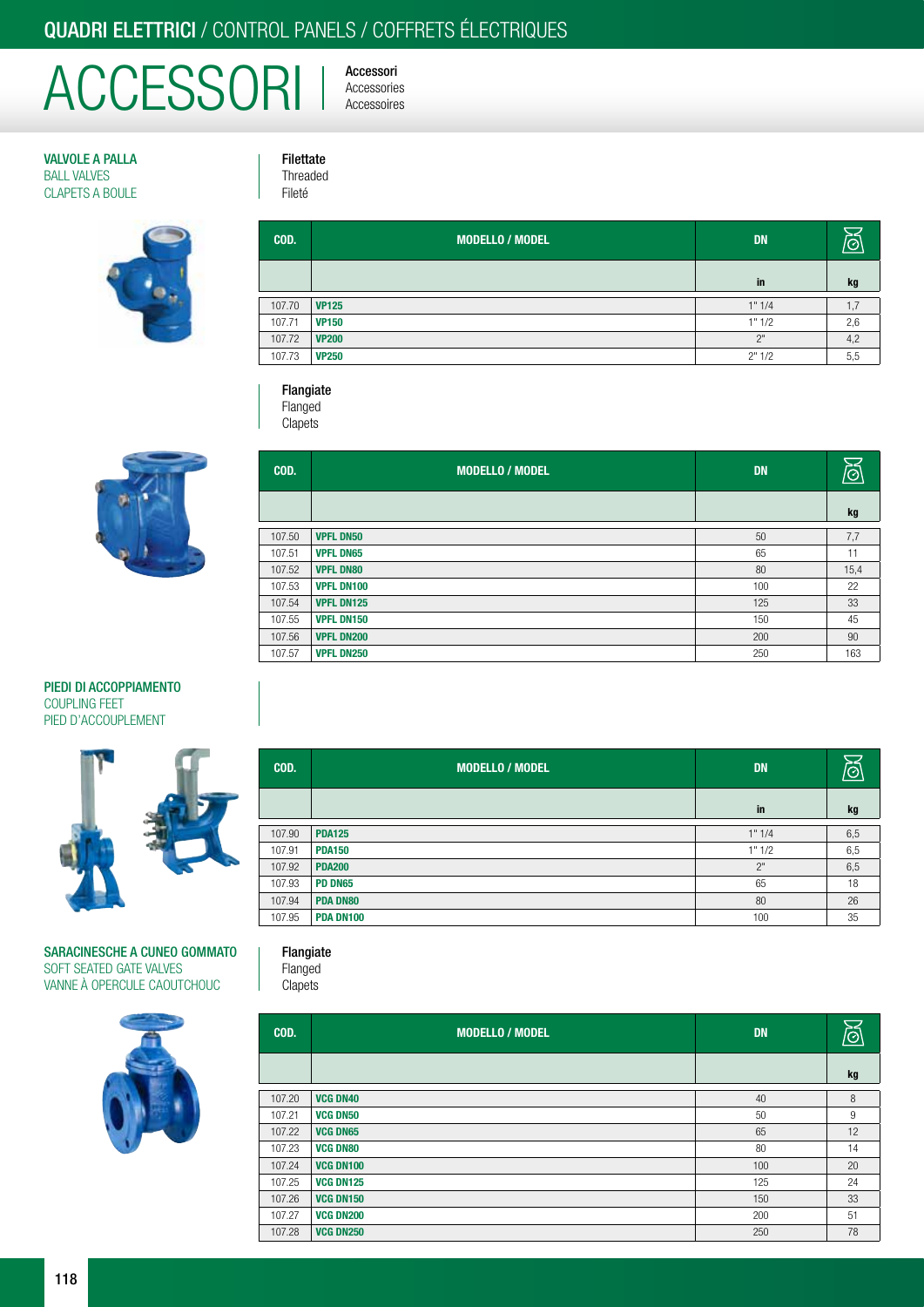# QUADRI ELETTRICI / CONTROL PANELS / COFFRETS ÉLECTRIQUES

Filettate Threaded Fileté

# ACCESSORI | Accessories

Accessori

VALVOLE A PALLA BALL VALVES CLAPETS A BOULE



| COD.   | MODELLO / MODEL | <b>DN</b> | $  \odot  $ |
|--------|-----------------|-----------|-------------|
|        |                 | in        | kg          |
| 107.70 | <b>VP125</b>    | 1" 1/4    | 1,7         |
| 107.71 | <b>VP150</b>    | 1" 1/2    | 2,6         |
| 107.72 | <b>VP200</b>    | 2"        | 4,2         |
| 107.73 | <b>VP250</b>    | 2" 1/2    | 5,5         |

### Flangiate

Flanged

**Clapets** 



| COD.   | <b>MODELLO / MODEL</b> | <b>DN</b> | ଔ    |
|--------|------------------------|-----------|------|
|        |                        |           | kg   |
| 107.50 | <b>VPFL DN50</b>       | 50        | 7,7  |
| 107.51 | <b>VPFL DN65</b>       | 65        | 11   |
| 107.52 | <b>VPFL DN80</b>       | 80        | 15,4 |
| 107.53 | <b>VPFL DN100</b>      | 100       | 22   |
| 107.54 | <b>VPFL DN125</b>      | 125       | 33   |
| 107.55 | <b>VPFL DN150</b>      | 150       | 45   |
| 107.56 | <b>VPFL DN200</b>      | 200       | 90   |
| 107.57 | <b>VPFL DN250</b>      | 250       | 163  |

### PIEDI DI ACCOPPIAMENTO COUPLING FEET PIED D'ACCOUPLEMENT



### SARACINESCHE A CUNEO GOMMATO SOFT SEATED GATE VALVES VANNE À OPERCULE CAOUTCHOUC



| COD.   | <b>MODELLO / MODEL</b> | <b>DN</b> | /ල  |
|--------|------------------------|-----------|-----|
|        |                        | in        | kg  |
| 107.90 | <b>PDA125</b>          | 1" 1/4    | 6,5 |
| 107.91 | <b>PDA150</b>          | 1" 1/2    | 6,5 |
| 107.92 | <b>PDA200</b>          | 2"        | 6,5 |
| 107.93 | <b>PD DN65</b>         | 65        | 18  |
| 107.94 | <b>PDA DN80</b>        | 80        | 26  |
| 107.95 | PDA DN100              | 100       | 35  |

### Flangiate Flanged

**Clapets** 

| COD.   | <b>MODELLO / MODEL</b> | <b>DN</b> | ð  |
|--------|------------------------|-----------|----|
|        |                        |           | kg |
| 107.20 | <b>VCG DN40</b>        | 40        | 8  |
| 107.21 | <b>VCG DN50</b>        | 50        | 9  |
| 107.22 | <b>VCG DN65</b>        | 65        | 12 |
| 107.23 | <b>VCG DN80</b>        | 80        | 14 |
| 107.24 | <b>VCG DN100</b>       | 100       | 20 |
| 107.25 | <b>VCG DN125</b>       | 125       | 24 |
| 107.26 | <b>VCG DN150</b>       | 150       | 33 |
| 107.27 | <b>VCG DN200</b>       | 200       | 51 |
| 107.28 | <b>VCG DN250</b>       | 250       | 78 |